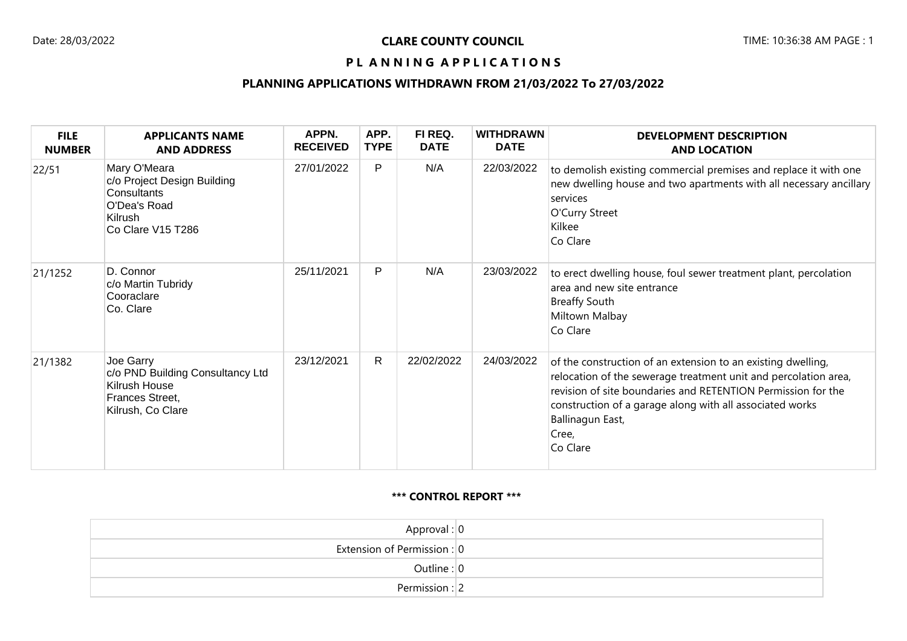### PL ANNING APPLICATIONS

### **PLANNING APPLICATIONS WITHDRAWN FROM 21/03/2022 To 27/03/2022**

| <b>FILE</b><br><b>NUMBER</b> | <b>APPLICANTS NAME</b><br><b>AND ADDRESS</b>                                                               | APPN.<br><b>RECEIVED</b> | APP.<br><b>TYPE</b> | FI REQ.<br><b>DATE</b> | <b>WITHDRAWN</b><br><b>DATE</b> | <b>DEVELOPMENT DESCRIPTION</b><br><b>AND LOCATION</b>                                                                                                                                                                                                                                                |
|------------------------------|------------------------------------------------------------------------------------------------------------|--------------------------|---------------------|------------------------|---------------------------------|------------------------------------------------------------------------------------------------------------------------------------------------------------------------------------------------------------------------------------------------------------------------------------------------------|
| 22/51                        | Mary O'Meara<br>c/o Project Design Building<br>Consultants<br>O'Dea's Road<br>Kilrush<br>Co Clare V15 T286 | 27/01/2022               | $\mathsf{P}$        | N/A                    | 22/03/2022                      | to demolish existing commercial premises and replace it with one<br>new dwelling house and two apartments with all necessary ancillary<br>services<br>O'Curry Street<br>Kilkee<br>Co Clare                                                                                                           |
| 21/1252                      | D. Connor<br>c/o Martin Tubridy<br>Cooraclare<br>Co. Clare                                                 | 25/11/2021               | $\mathsf{P}$        | N/A                    | 23/03/2022                      | to erect dwelling house, foul sewer treatment plant, percolation<br>area and new site entrance<br><b>Breaffy South</b><br>Miltown Malbay<br>Co Clare                                                                                                                                                 |
| 21/1382                      | Joe Garry<br>c/o PND Building Consultancy Ltd<br>Kilrush House<br>Frances Street,<br>Kilrush, Co Clare     | 23/12/2021               | $\mathsf{R}$        | 22/02/2022             | 24/03/2022                      | of the construction of an extension to an existing dwelling,<br>relocation of the sewerage treatment unit and percolation area,<br>revision of site boundaries and RETENTION Permission for the<br>construction of a garage along with all associated works<br>Ballinagun East,<br>Cree,<br>Co Clare |

#### **\*\*\* CONTROL REPORT \*\*\***

| Approval: $ 0 $                 |  |
|---------------------------------|--|
| Extension of Permission : $ 0 $ |  |
| Outline : $ 0 $                 |  |
| Permission : 2                  |  |